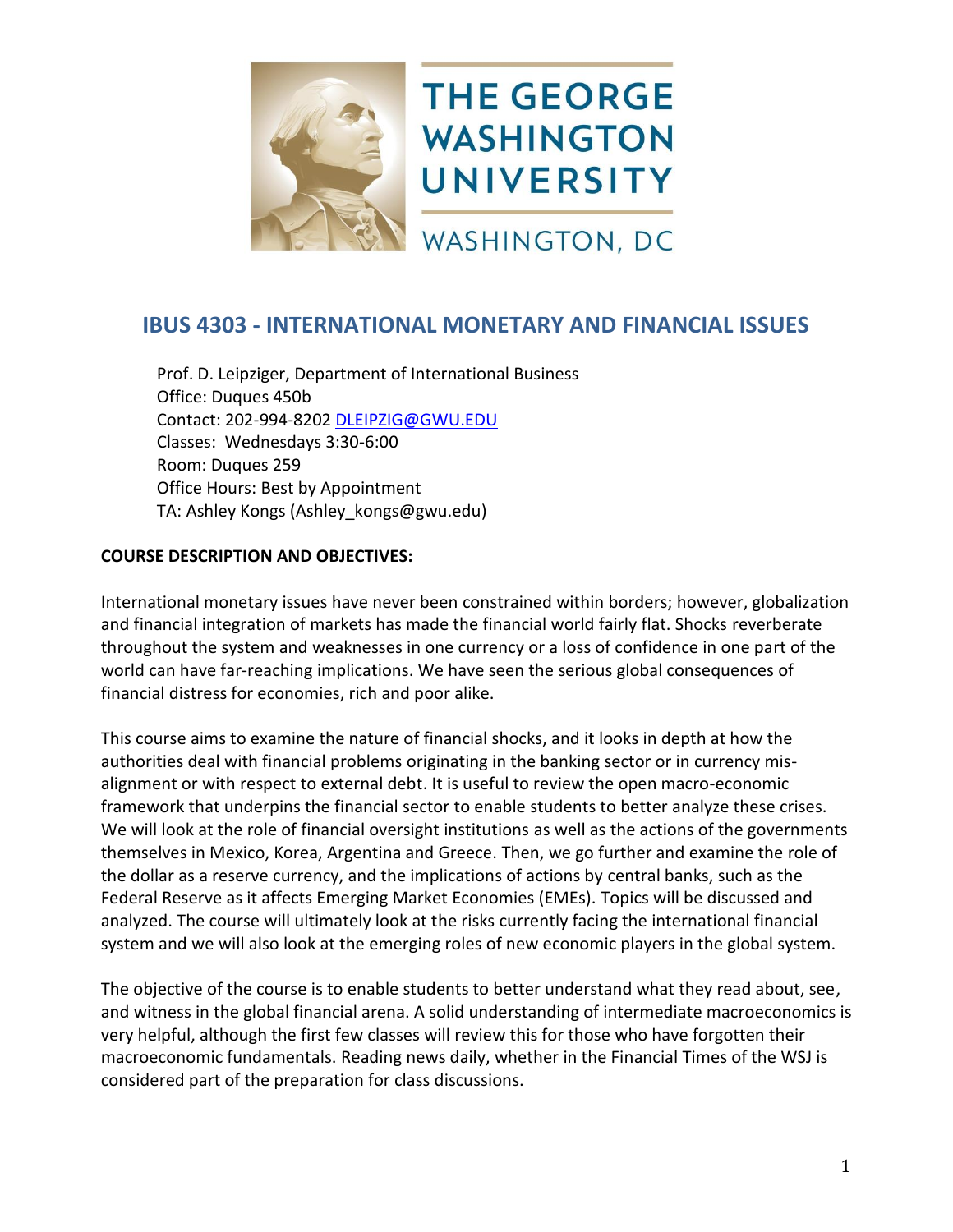

# **IBUS 4303 - INTERNATIONAL MONETARY AND FINANCIAL ISSUES**

Prof. D. Leipziger, Department of International Business Office: Duques 450b Contact: 202-994-8202 [DLEIPZIG@GWU.EDU](mailto:DLEIPZIG@GWU.EDU?subject=International%20Monetary%20And%20Financial%20Issues) Classes: Wednesdays 3:30-6:00 Room: Duques 259 Office Hours: Best by Appointment TA: Ashley Kongs (Ashley\_kongs@gwu.edu)

# **COURSE DESCRIPTION AND OBJECTIVES:**

International monetary issues have never been constrained within borders; however, globalization and financial integration of markets has made the financial world fairly flat. Shocks reverberate throughout the system and weaknesses in one currency or a loss of confidence in one part of the world can have far-reaching implications. We have seen the serious global consequences of financial distress for economies, rich and poor alike.

This course aims to examine the nature of financial shocks, and it looks in depth at how the authorities deal with financial problems originating in the banking sector or in currency misalignment or with respect to external debt. It is useful to review the open macro-economic framework that underpins the financial sector to enable students to better analyze these crises. We will look at the role of financial oversight institutions as well as the actions of the governments themselves in Mexico, Korea, Argentina and Greece. Then, we go further and examine the role of the dollar as a reserve currency, and the implications of actions by central banks, such as the Federal Reserve as it affects Emerging Market Economies (EMEs). Topics will be discussed and analyzed. The course will ultimately look at the risks currently facing the international financial system and we will also look at the emerging roles of new economic players in the global system.

The objective of the course is to enable students to better understand what they read about, see, and witness in the global financial arena. A solid understanding of intermediate macroeconomics is very helpful, although the first few classes will review this for those who have forgotten their macroeconomic fundamentals. Reading news daily, whether in the Financial Times of the WSJ is considered part of the preparation for class discussions.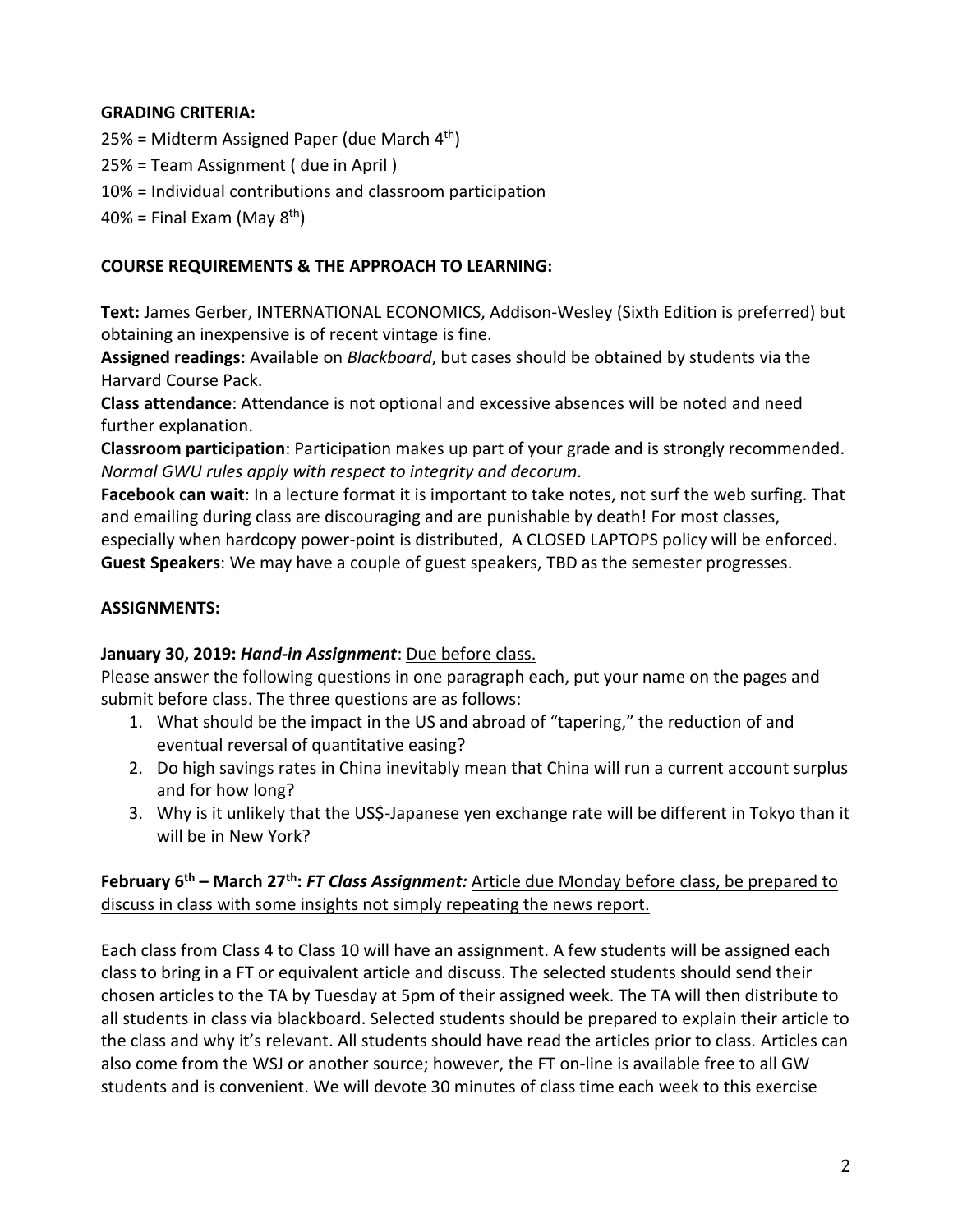# **GRADING CRITERIA:**

25% = Midterm Assigned Paper (due March 4<sup>th</sup>)

25% = Team Assignment ( due in April )

10% = Individual contributions and classroom participation

 $40\%$  = Final Exam (May  $8^{th}$ )

# **COURSE REQUIREMENTS & THE APPROACH TO LEARNING:**

**Text:** James Gerber, INTERNATIONAL ECONOMICS, Addison-Wesley (Sixth Edition is preferred) but obtaining an inexpensive is of recent vintage is fine.

**Assigned readings:** Available on *Blackboard*, but cases should be obtained by students via the Harvard Course Pack.

**Class attendance**: Attendance is not optional and excessive absences will be noted and need further explanation.

**Classroom participation**: Participation makes up part of your grade and is strongly recommended. *Normal GWU rules apply with respect to integrity and decorum.*

**Facebook can wait**: In a lecture format it is important to take notes, not surf the web surfing. That and emailing during class are discouraging and are punishable by death! For most classes, especially when hardcopy power-point is distributed, A CLOSED LAPTOPS policy will be enforced. **Guest Speakers**: We may have a couple of guest speakers, TBD as the semester progresses.

# **ASSIGNMENTS:**

# **January 30, 2019:** *Hand-in Assignment*: Due before class.

Please answer the following questions in one paragraph each, put your name on the pages and submit before class. The three questions are as follows:

- 1. What should be the impact in the US and abroad of "tapering," the reduction of and eventual reversal of quantitative easing?
- 2. Do high savings rates in China inevitably mean that China will run a current account surplus and for how long?
- 3. Why is it unlikely that the US\$-Japanese yen exchange rate will be different in Tokyo than it will be in New York?

# **February 6 th – March 27 th:** *FT Class Assignment:* Article due Monday before class, be prepared to discuss in class with some insights not simply repeating the news report.

Each class from Class 4 to Class 10 will have an assignment. A few students will be assigned each class to bring in a FT or equivalent article and discuss. The selected students should send their chosen articles to the TA by Tuesday at 5pm of their assigned week. The TA will then distribute to all students in class via blackboard. Selected students should be prepared to explain their article to the class and why it's relevant. All students should have read the articles prior to class. Articles can also come from the WSJ or another source; however, the FT on-line is available free to all GW students and is convenient. We will devote 30 minutes of class time each week to this exercise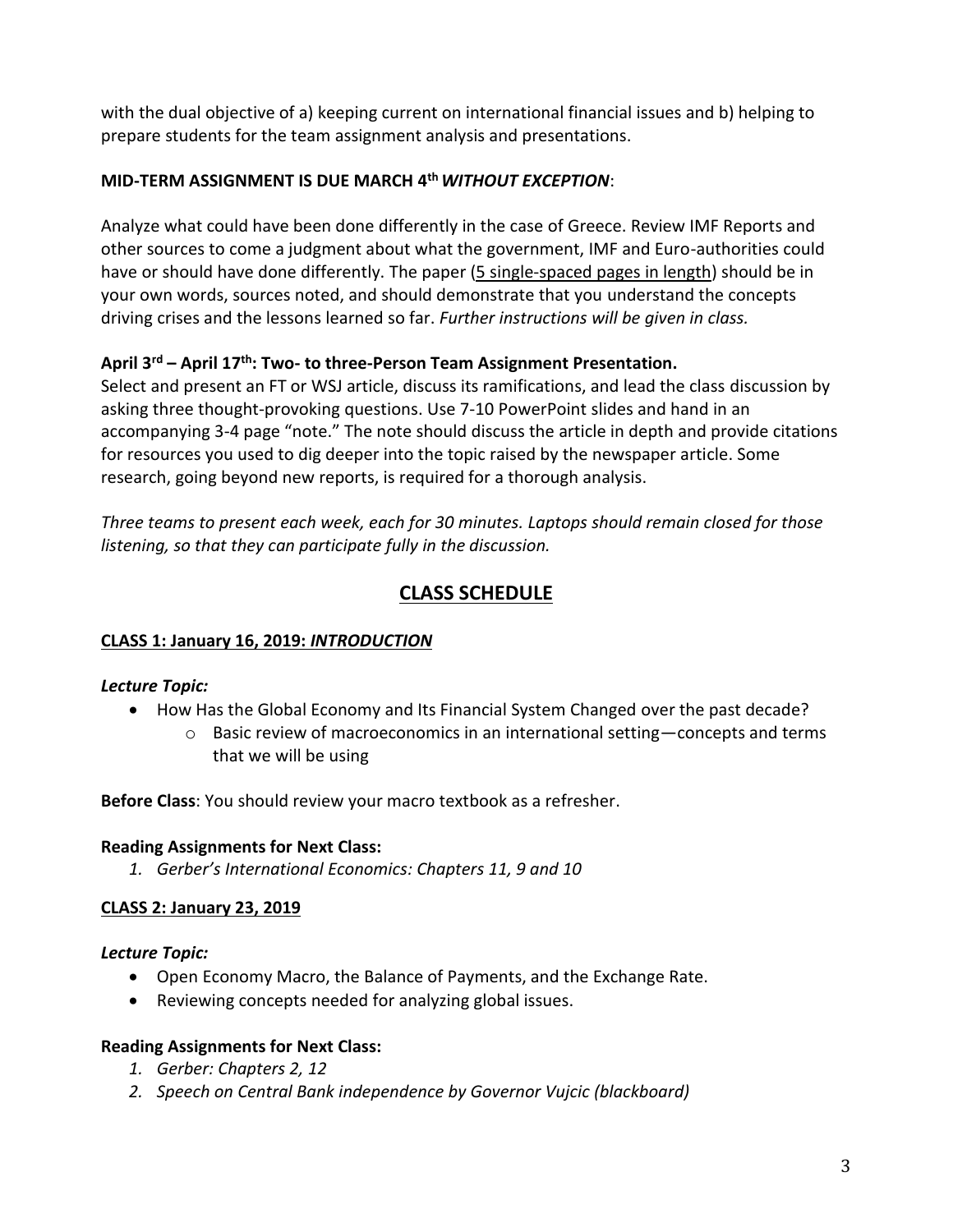with the dual objective of a) keeping current on international financial issues and b) helping to prepare students for the team assignment analysis and presentations.

# **MID-TERM ASSIGNMENT IS DUE MARCH 4 th***WITHOUT EXCEPTION*:

Analyze what could have been done differently in the case of Greece. Review IMF Reports and other sources to come a judgment about what the government, IMF and Euro-authorities could have or should have done differently. The paper (5 single-spaced pages in length) should be in your own words, sources noted, and should demonstrate that you understand the concepts driving crises and the lessons learned so far. *Further instructions will be given in class.*

# **April 3 rd – April 17 th: Two- to three-Person Team Assignment Presentation.**

Select and present an FT or WSJ article, discuss its ramifications, and lead the class discussion by asking three thought-provoking questions. Use 7-10 PowerPoint slides and hand in an accompanying 3-4 page "note." The note should discuss the article in depth and provide citations for resources you used to dig deeper into the topic raised by the newspaper article. Some research, going beyond new reports, is required for a thorough analysis.

*Three teams to present each week, each for 30 minutes. Laptops should remain closed for those listening, so that they can participate fully in the discussion.*

# **CLASS SCHEDULE**

# **CLASS 1: January 16, 2019:** *INTRODUCTION*

# *Lecture Topic:*

- How Has the Global Economy and Its Financial System Changed over the past decade?
	- $\circ$  Basic review of macroeconomics in an international setting—concepts and terms that we will be using

**Before Class**: You should review your macro textbook as a refresher.

# **Reading Assignments for Next Class:**

*1. Gerber's International Economics: Chapters 11, 9 and 10*

# **CLASS 2: January 23, 2019**

# *Lecture Topic:*

- Open Economy Macro, the Balance of Payments, and the Exchange Rate.
- Reviewing concepts needed for analyzing global issues.

# **Reading Assignments for Next Class:**

- *1. Gerber: Chapters 2, 12*
- *2. Speech on Central Bank independence by Governor Vujcic (blackboard)*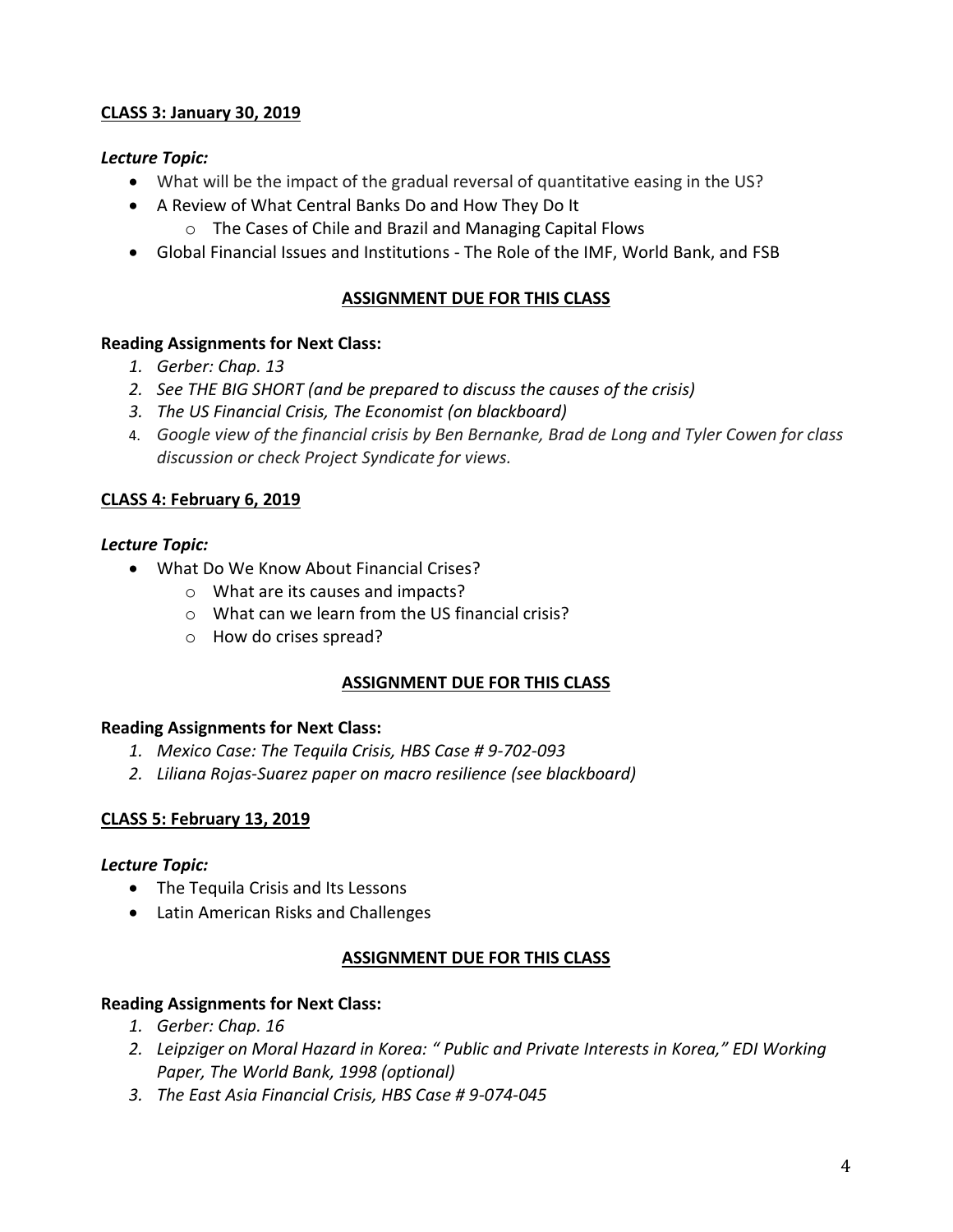# **CLASS 3: January 30, 2019**

# *Lecture Topic:*

- What will be the impact of the gradual reversal of quantitative easing in the US?
- A Review of What Central Banks Do and How They Do It
	- o The Cases of Chile and Brazil and Managing Capital Flows
- Global Financial Issues and Institutions The Role of the IMF, World Bank, and FSB

# **ASSIGNMENT DUE FOR THIS CLASS**

#### **Reading Assignments for Next Class:**

- *1. Gerber: Chap. 13*
- *2. See THE BIG SHORT (and be prepared to discuss the causes of the crisis)*
- *3. The US Financial Crisis, The Economist (on blackboard)*
- 4. *Google view of the financial crisis by Ben Bernanke, Brad de Long and Tyler Cowen for class discussion or check Project Syndicate for views.*

# **CLASS 4: February 6, 2019**

#### *Lecture Topic:*

- What Do We Know About Financial Crises?
	- o What are its causes and impacts?
	- o What can we learn from the US financial crisis?
	- o How do crises spread?

#### **ASSIGNMENT DUE FOR THIS CLASS**

#### **Reading Assignments for Next Class:**

- *1. Mexico Case: The Tequila Crisis, HBS Case # 9-702-093*
- *2. Liliana Rojas-Suarez paper on macro resilience (see blackboard)*

#### **CLASS 5: February 13, 2019**

#### *Lecture Topic:*

- The Tequila Crisis and Its Lessons
- Latin American Risks and Challenges

#### **ASSIGNMENT DUE FOR THIS CLASS**

#### **Reading Assignments for Next Class:**

- *1. Gerber: Chap. 16*
- *2. Leipziger on Moral Hazard in Korea: " Public and Private Interests in Korea," EDI Working Paper, The World Bank, 1998 (optional)*
- *3. The East Asia Financial Crisis, HBS Case # 9-074-045*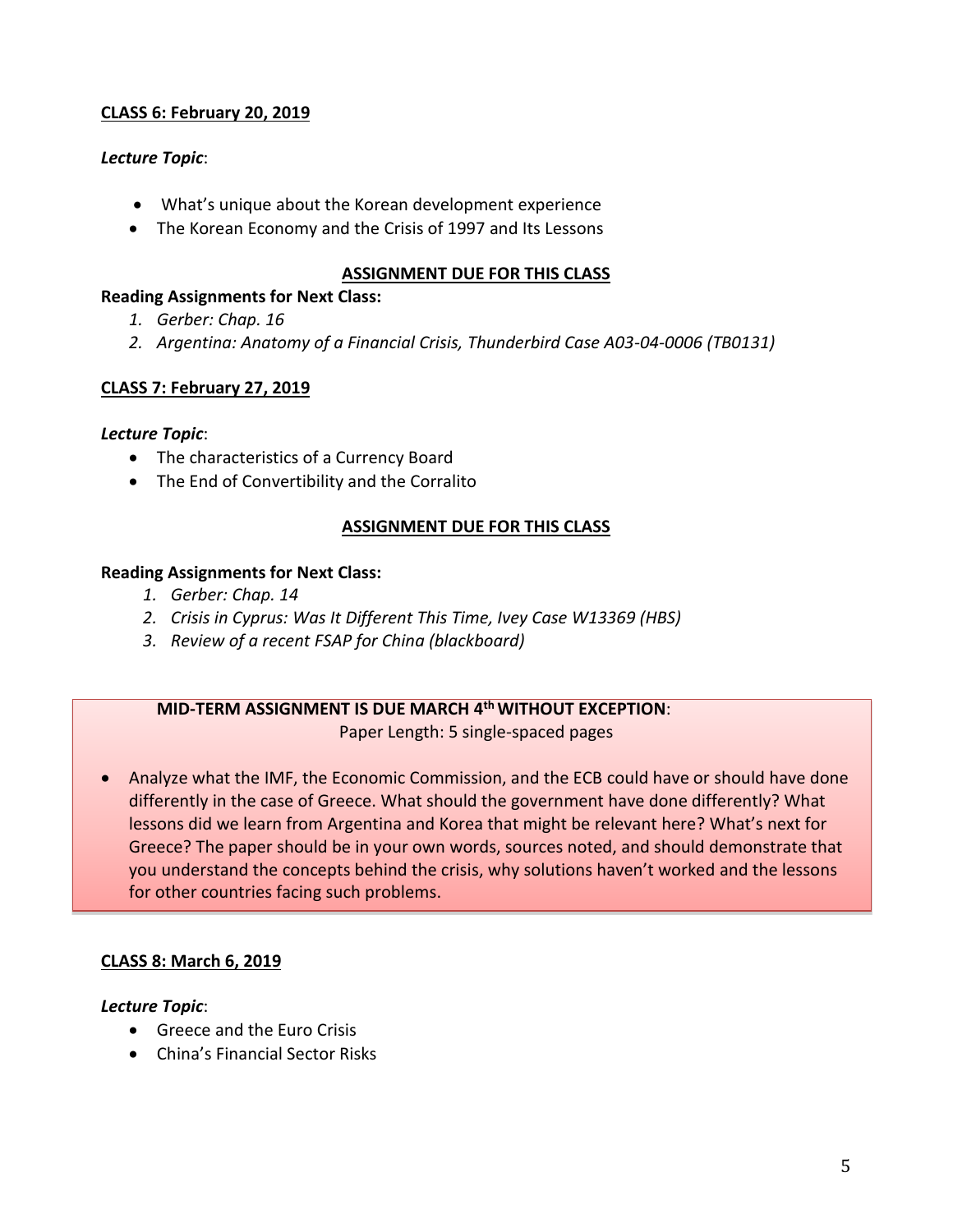# **CLASS 6: February 20, 2019**

# *Lecture Topic*:

- What's unique about the Korean development experience
- The Korean Economy and the Crisis of 1997 and Its Lessons

## **ASSIGNMENT DUE FOR THIS CLASS**

#### **Reading Assignments for Next Class:**

- *1. Gerber: Chap. 16*
- *2. Argentina: Anatomy of a Financial Crisis, Thunderbird Case A03-04-0006 (TB0131)*

# **CLASS 7: February 27, 2019**

# *Lecture Topic*:

- The characteristics of a Currency Board
- The End of Convertibility and the Corralito

# **ASSIGNMENT DUE FOR THIS CLASS**

#### **Reading Assignments for Next Class:**

- *1. Gerber: Chap. 14*
- *2. Crisis in Cyprus: Was It Different This Time, Ivey Case W13369 (HBS)*
- *3. Review of a recent FSAP for China (blackboard)*

### **MID-TERM ASSIGNMENT IS DUE MARCH 4 thWITHOUT EXCEPTION**: Paper Length: 5 single-spaced pages

 Analyze what the IMF, the Economic Commission, and the ECB could have or should have done differently in the case of Greece. What should the government have done differently? What lessons did we learn from Argentina and Korea that might be relevant here? What's next for Greece? The paper should be in your own words, sources noted, and should demonstrate that you understand the concepts behind the crisis, why solutions haven't worked and the lessons for other countries facing such problems.

#### **CLASS 8: March 6, 2019**

#### *Lecture Topic*:

- Greece and the Euro Crisis
- China's Financial Sector Risks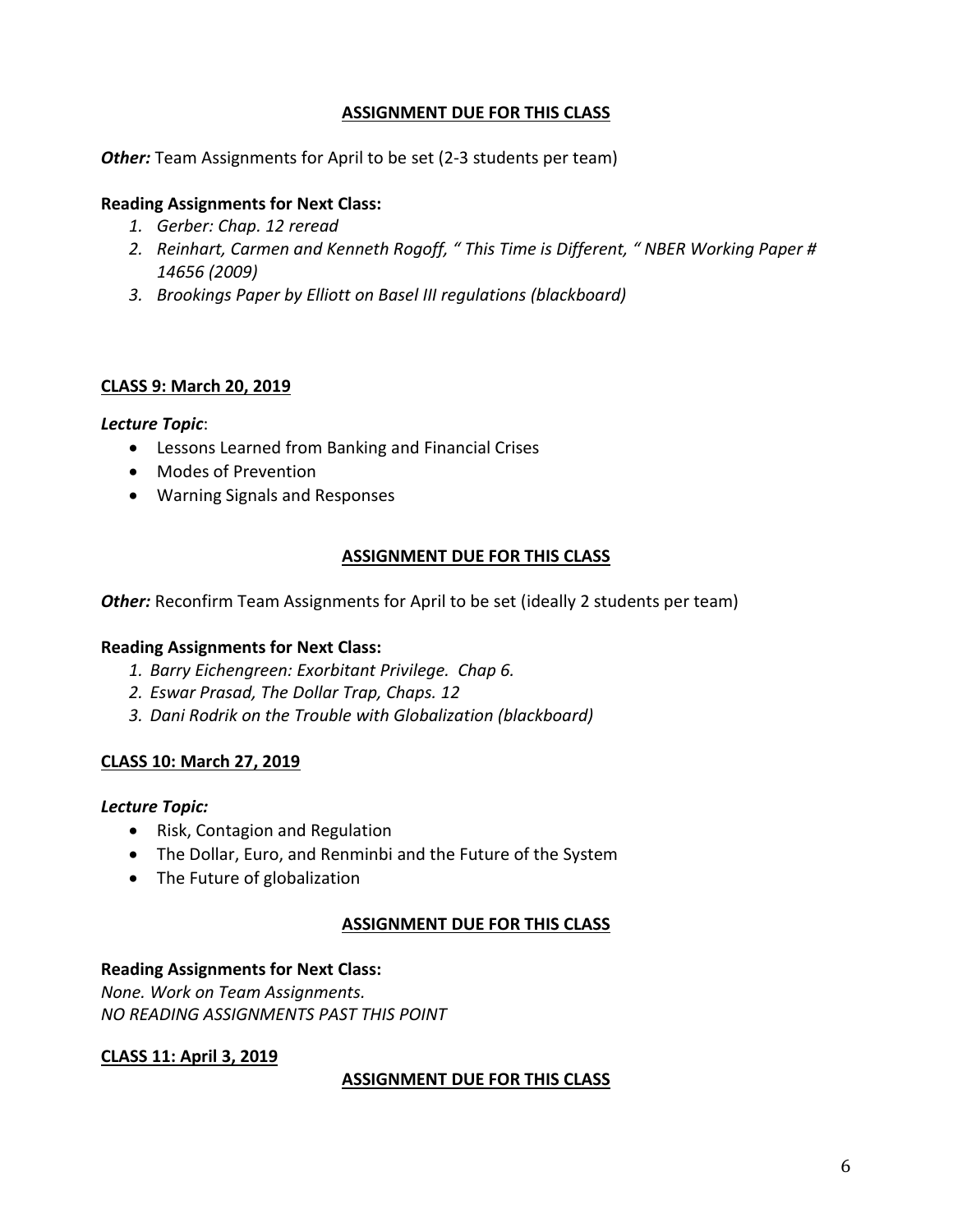# **ASSIGNMENT DUE FOR THIS CLASS**

**Other:** Team Assignments for April to be set (2-3 students per team)

# **Reading Assignments for Next Class:**

- *1. Gerber: Chap. 12 reread*
- *2. Reinhart, Carmen and Kenneth Rogoff, " This Time is Different, " NBER Working Paper # 14656 (2009)*
- *3. Brookings Paper by Elliott on Basel III regulations (blackboard)*

#### **CLASS 9: March 20, 2019**

#### *Lecture Topic*:

- Lessons Learned from Banking and Financial Crises
- Modes of Prevention
- Warning Signals and Responses

# **ASSIGNMENT DUE FOR THIS CLASS**

*Other:* Reconfirm Team Assignments for April to be set (ideally 2 students per team)

#### **Reading Assignments for Next Class:**

- *1. Barry Eichengreen: Exorbitant Privilege. Chap 6.*
- *2. Eswar Prasad, The Dollar Trap, Chaps. 12*
- *3. Dani Rodrik on the Trouble with Globalization (blackboard)*

#### **CLASS 10: March 27, 2019**

#### *Lecture Topic:*

- Risk, Contagion and Regulation
- The Dollar, Euro, and Renminbi and the Future of the System
- The Future of globalization

#### **ASSIGNMENT DUE FOR THIS CLASS**

#### **Reading Assignments for Next Class:**

*None. Work on Team Assignments. NO READING ASSIGNMENTS PAST THIS POINT*

#### **CLASS 11: April 3, 2019**

# **ASSIGNMENT DUE FOR THIS CLASS**